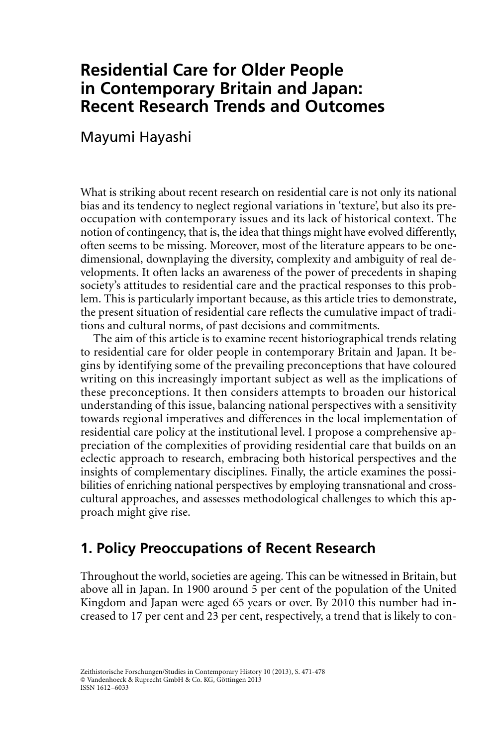## **Residential Care for Older People in Contemporary Britain and Japan: Recent Research Trends and Outcomes**

Mayumi Hayashi

What is striking about recent research on residential care is not only its national bias and its tendency to neglect regional variations in 'texture', but also its preoccupation with contemporary issues and its lack of historical context. The notion of contingency, that is, the idea that things might have evolved differently, often seems to be missing. Moreover, most of the literature appears to be onedimensional, downplaying the diversity, complexity and ambiguity of real developments. It often lacks an awareness of the power of precedents in shaping society's attitudes to residential care and the practical responses to this problem. This is particularly important because, as this article tries to demonstrate, the present situation of residential care reflects the cumulative impact of traditions and cultural norms, of past decisions and commitments.

The aim of this article is to examine recent historiographical trends relating to residential care for older people in contemporary Britain and Japan. It begins by identifying some of the prevailing preconceptions that have coloured writing on this increasingly important subject as well as the implications of these preconceptions. It then considers attempts to broaden our historical understanding of this issue, balancing national perspectives with a sensitivity towards regional imperatives and differences in the local implementation of residential care policy at the institutional level. I propose a comprehensive appreciation of the complexities of providing residential care that builds on an eclectic approach to research, embracing both historical perspectives and the insights of complementary disciplines. Finally, the article examines the possibilities of enriching national perspectives by employing transnational and crosscultural approaches, and assesses methodological challenges to which this approach might give rise.

## **1. Policy Preoccupations of Recent Research**

Throughout the world, societies are ageing. This can be witnessed in Britain, but above all in Japan. In 1900 around 5 per cent of the population of the United Kingdom and Japan were aged 65 years or over. By 2010 this number had increased to 17 per cent and 23 per cent, respectively, a trend that is likely to con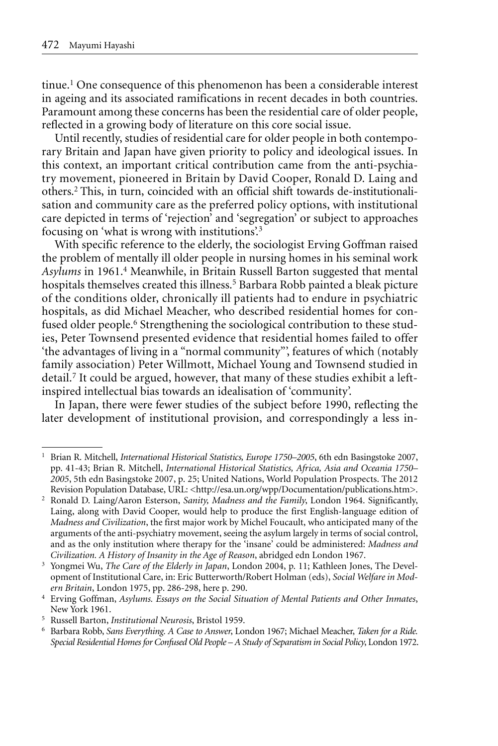tinue.1 One consequence of this phenomenon has been a considerable interest in ageing and its associated ramifications in recent decades in both countries. Paramount among these concerns has been the residential care of older people, reflected in a growing body of literature on this core social issue.

Until recently, studies of residential care for older people in both contemporary Britain and Japan have given priority to policy and ideological issues. In this context, an important critical contribution came from the anti-psychiatry movement, pioneered in Britain by David Cooper, Ronald D. Laing and others.2 This, in turn, coincided with an official shift towards de-institutionalisation and community care as the preferred policy options, with institutional care depicted in terms of 'rejection' and 'segregation' or subject to approaches focusing on 'what is wrong with institutions'.3

With specific reference to the elderly, the sociologist Erving Goffman raised the problem of mentally ill older people in nursing homes in his seminal work *Asylums* in 1961.4 Meanwhile, in Britain Russell Barton suggested that mental hospitals themselves created this illness.<sup>5</sup> Barbara Robb painted a bleak picture of the conditions older, chronically ill patients had to endure in psychiatric hospitals, as did Michael Meacher, who described residential homes for confused older people.<sup>6</sup> Strengthening the sociological contribution to these studies, Peter Townsend presented evidence that residential homes failed to offer 'the advantages of living in a "normal community"', features of which (notably family association) Peter Willmott, Michael Young and Townsend studied in detail.7 It could be argued, however, that many of these studies exhibit a leftinspired intellectual bias towards an idealisation of 'community'.

In Japan, there were fewer studies of the subject before 1990, reflecting the later development of institutional provision, and correspondingly a less in-

<sup>1</sup> Brian R. Mitchell, *International Historical Statistics, Europe 1750–2005*, 6th edn Basingstoke 2007, pp. 41-43; Brian R. Mitchell, *International Historical Statistics, Africa, Asia and Oceania 1750– 2005*, 5th edn Basingstoke 2007, p. 25; United Nations, World Population Prospects. The 2012 Revision Population Database, URL: <http://esa.un.org/wpp/Documentation/publications.htm>.

<sup>2</sup> Ronald D. Laing/Aaron Esterson, *Sanity, Madness and the Family*, London 1964. Significantly, Laing, along with David Cooper, would help to produce the first English-language edition of *Madness and Civilization*, the first major work by Michel Foucault, who anticipated many of the arguments of the anti-psychiatry movement, seeing the asylum largely in terms of social control, and as the only institution where therapy for the 'insane' could be administered: *Madness and Civilization. A History of Insanity in the Age of Reason*, abridged edn London 1967.

<sup>3</sup> Yongmei Wu, *The Care of the Elderly in Japan*, London 2004, p. 11; Kathleen Jones, The Development of Institutional Care, in: Eric Butterworth/Robert Holman (eds), *Social Welfare in Modern Britain*, London 1975, pp. 286-298, here p. 290.

<sup>4</sup> Erving Goffman, *Asylums. Essays on the Social Situation of Mental Patients and Other Inmates*, New York 1961.

<sup>5</sup> Russell Barton, *Institutional Neurosis*, Bristol 1959.

<sup>6</sup> Barbara Robb, *Sans Everything. A Case to Answer*, London 1967; Michael Meacher, *Taken for a Ride. Special Residential Homes for Confused Old People – A Study of Separatism in Social Policy*, London 1972.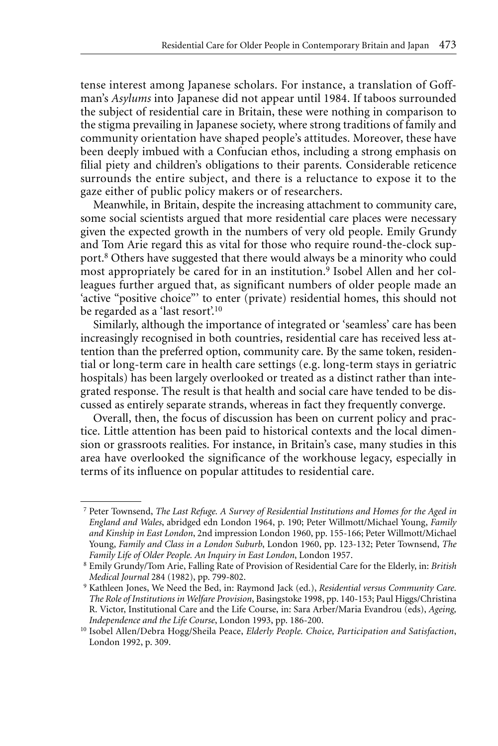tense interest among Japanese scholars. For instance, a translation of Goffman's *Asylums* into Japanese did not appear until 1984. If taboos surrounded the subject of residential care in Britain, these were nothing in comparison to the stigma prevailing in Japanese society, where strong traditions of family and community orientation have shaped people's attitudes. Moreover, these have been deeply imbued with a Confucian ethos, including a strong emphasis on filial piety and children's obligations to their parents. Considerable reticence surrounds the entire subject, and there is a reluctance to expose it to the gaze either of public policy makers or of researchers.

Meanwhile, in Britain, despite the increasing attachment to community care, some social scientists argued that more residential care places were necessary given the expected growth in the numbers of very old people. Emily Grundy and Tom Arie regard this as vital for those who require round-the-clock support.8 Others have suggested that there would always be a minority who could most appropriately be cared for in an institution.9 Isobel Allen and her colleagues further argued that, as significant numbers of older people made an 'active "positive choice"' to enter (private) residential homes, this should not be regarded as a 'last resort'.<sup>10</sup>

Similarly, although the importance of integrated or 'seamless' care has been increasingly recognised in both countries, residential care has received less attention than the preferred option, community care. By the same token, residential or long-term care in health care settings (e.g. long-term stays in geriatric hospitals) has been largely overlooked or treated as a distinct rather than integrated response. The result is that health and social care have tended to be discussed as entirely separate strands, whereas in fact they frequently converge.

Overall, then, the focus of discussion has been on current policy and practice. Little attention has been paid to historical contexts and the local dimension or grassroots realities. For instance, in Britain's case, many studies in this area have overlooked the significance of the workhouse legacy, especially in terms of its influence on popular attitudes to residential care.

<sup>7</sup> Peter Townsend, *The Last Refuge. A Survey of Residential Institutions and Homes for the Aged in England and Wales*, abridged edn London 1964, p. 190; Peter Willmott/Michael Young, *Family and Kinship in East London*, 2nd impression London 1960, pp. 155-166; Peter Willmott/Michael Young, *Family and Class in a London Suburb*, London 1960, pp. 123-132; Peter Townsend, *The Family Life of Older People. An Inquiry in East London*, London 1957.

<sup>8</sup> Emily Grundy/Tom Arie, Falling Rate of Provision of Residential Care for the Elderly, in: *British Medical Journal* 284 (1982), pp. 799-802.

<sup>9</sup> Kathleen Jones, We Need the Bed, in: Raymond Jack (ed.), *Residential versus Community Care. The Role of Institutions in Welfare Provision*, Basingstoke 1998, pp. 140-153; Paul Higgs/Christina R. Victor, Institutional Care and the Life Course, in: Sara Arber/Maria Evandrou (eds), *Ageing, Independence and the Life Course*, London 1993, pp. 186-200.

<sup>10</sup> Isobel Allen/Debra Hogg/Sheila Peace, *Elderly People. Choice, Participation and Satisfaction*, London 1992, p. 309.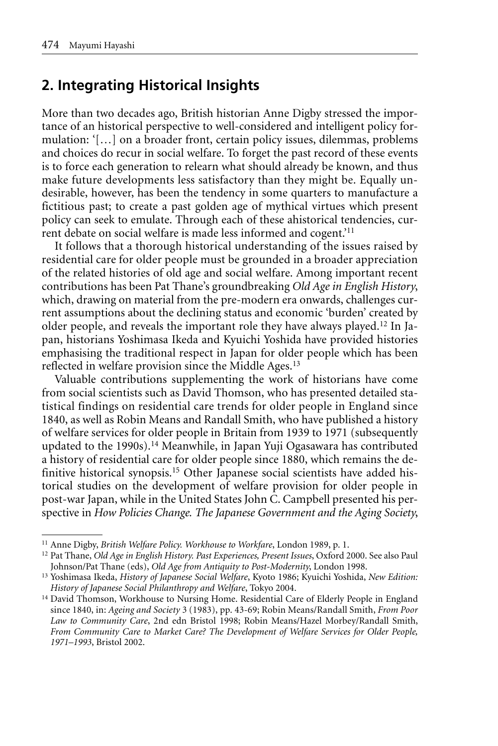## **2. Integrating Historical Insights**

More than two decades ago, British historian Anne Digby stressed the importance of an historical perspective to well-considered and intelligent policy formulation: '[…] on a broader front, certain policy issues, dilemmas, problems and choices do recur in social welfare. To forget the past record of these events is to force each generation to relearn what should already be known, and thus make future developments less satisfactory than they might be. Equally undesirable, however, has been the tendency in some quarters to manufacture a fictitious past; to create a past golden age of mythical virtues which present policy can seek to emulate. Through each of these ahistorical tendencies, current debate on social welfare is made less informed and cogent.'11

It follows that a thorough historical understanding of the issues raised by residential care for older people must be grounded in a broader appreciation of the related histories of old age and social welfare. Among important recent contributions has been Pat Thane's groundbreaking *Old Age in English History*, which, drawing on material from the pre-modern era onwards, challenges current assumptions about the declining status and economic 'burden' created by older people, and reveals the important role they have always played.12 In Japan, historians Yoshimasa Ikeda and Kyuichi Yoshida have provided histories emphasising the traditional respect in Japan for older people which has been reflected in welfare provision since the Middle Ages.<sup>13</sup>

Valuable contributions supplementing the work of historians have come from social scientists such as David Thomson, who has presented detailed statistical findings on residential care trends for older people in England since 1840, as well as Robin Means and Randall Smith, who have published a history of welfare services for older people in Britain from 1939 to 1971 (subsequently updated to the 1990s).14 Meanwhile, in Japan Yuji Ogasawara has contributed a history of residential care for older people since 1880, which remains the definitive historical synopsis.<sup>15</sup> Other Japanese social scientists have added historical studies on the development of welfare provision for older people in post-war Japan, while in the United States John C. Campbell presented his perspective in *How Policies Change. The Japanese Government and the Aging Society*,

<sup>11</sup> Anne Digby, *British Welfare Policy. Workhouse to Workfare*, London 1989, p. 1.

<sup>12</sup> Pat Thane, *Old Age in English History. Past Experiences, Present Issues*, Oxford 2000. See also Paul Johnson/Pat Thane (eds), *Old Age from Antiquity to Post-Modernity*, London 1998.

<sup>13</sup> Yoshimasa Ikeda, *History of Japanese Social Welfare*, Kyoto 1986; Kyuichi Yoshida, *New Edition: History of Japanese Social Philanthropy and Welfare*, Tokyo 2004.

<sup>&</sup>lt;sup>14</sup> David Thomson, Workhouse to Nursing Home. Residential Care of Elderly People in England since 1840, in: *Ageing and Society* 3 (1983), pp. 43-69; Robin Means/Randall Smith, *From Poor Law to Community Care*, 2nd edn Bristol 1998; Robin Means/Hazel Morbey/Randall Smith, *From Community Care to Market Care? The Development of Welfare Services for Older People, 1971–1993*, Bristol 2002.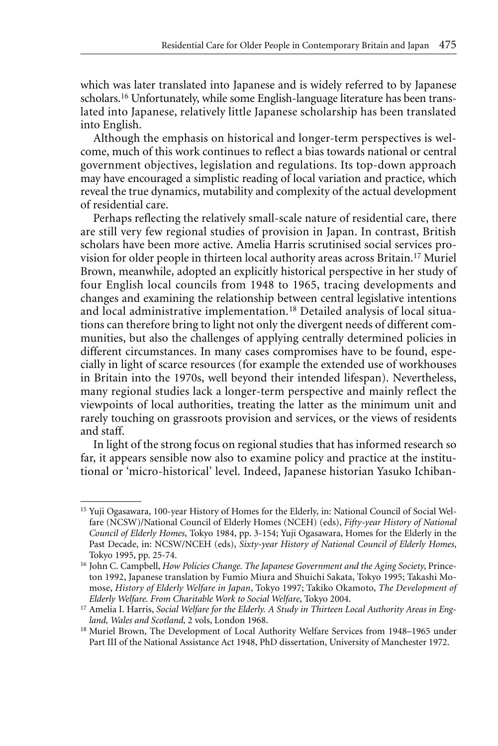which was later translated into Japanese and is widely referred to by Japanese scholars.16 Unfortunately, while some English-language literature has been translated into Japanese, relatively little Japanese scholarship has been translated into English.

Although the emphasis on historical and longer-term perspectives is welcome, much of this work continues to reflect a bias towards national or central government objectives, legislation and regulations. Its top-down approach may have encouraged a simplistic reading of local variation and practice, which reveal the true dynamics, mutability and complexity of the actual development of residential care.

Perhaps reflecting the relatively small-scale nature of residential care, there are still very few regional studies of provision in Japan. In contrast, British scholars have been more active. Amelia Harris scrutinised social services provision for older people in thirteen local authority areas across Britain.17 Muriel Brown, meanwhile, adopted an explicitly historical perspective in her study of four English local councils from 1948 to 1965, tracing developments and changes and examining the relationship between central legislative intentions and local administrative implementation.18 Detailed analysis of local situations can therefore bring to light not only the divergent needs of different communities, but also the challenges of applying centrally determined policies in different circumstances. In many cases compromises have to be found, especially in light of scarce resources (for example the extended use of workhouses in Britain into the 1970s, well beyond their intended lifespan). Nevertheless, many regional studies lack a longer-term perspective and mainly reflect the viewpoints of local authorities, treating the latter as the minimum unit and rarely touching on grassroots provision and services, or the views of residents and staff.

In light of the strong focus on regional studies that has informed research so far, it appears sensible now also to examine policy and practice at the institutional or 'micro-historical' level. Indeed, Japanese historian Yasuko Ichiban-

<sup>15</sup> Yuji Ogasawara, 100-year History of Homes for the Elderly, in: National Council of Social Welfare (NCSW)/National Council of Elderly Homes (NCEH) (eds), *Fifty-year History of National Council of Elderly Homes*, Tokyo 1984, pp. 3-154; Yuji Ogasawara, Homes for the Elderly in the Past Decade, in: NCSW/NCEH (eds), *Sixty-year History of National Council of Elderly Homes*, Tokyo 1995, pp. 25-74.

<sup>16</sup> John C. Campbell, *How Policies Change. The Japanese Government and the Aging Society*, Princeton 1992, Japanese translation by Fumio Miura and Shuichi Sakata, Tokyo 1995; Takashi Momose, *History of Elderly Welfare in Japan*, Tokyo 1997; Takiko Okamoto, *The Development of Elderly Welfare. From Charitable Work to Social Welfare*, Tokyo 2004.

<sup>17</sup> Amelia I. Harris, *Social Welfare for the Elderly. A Study in Thirteen Local Authority Areas in England, Wales and Scotland,* 2 vols, London 1968.

<sup>&</sup>lt;sup>18</sup> Muriel Brown, The Development of Local Authority Welfare Services from 1948–1965 under Part III of the National Assistance Act 1948, PhD dissertation, University of Manchester 1972.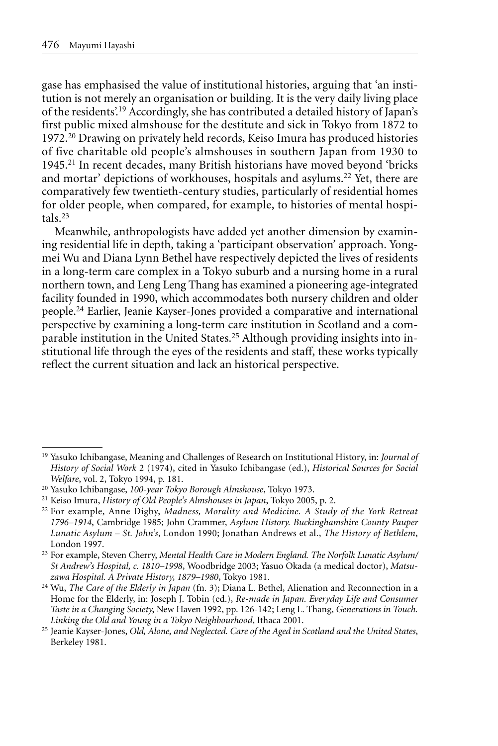gase has emphasised the value of institutional histories, arguing that 'an institution is not merely an organisation or building. It is the very daily living place of the residents'.19 Accordingly, she has contributed a detailed history of Japan's first public mixed almshouse for the destitute and sick in Tokyo from 1872 to 1972.20 Drawing on privately held records, Keiso Imura has produced histories of five charitable old people's almshouses in southern Japan from 1930 to 1945.21 In recent decades, many British historians have moved beyond 'bricks and mortar' depictions of workhouses, hospitals and asylums.22 Yet, there are comparatively few twentieth-century studies, particularly of residential homes for older people, when compared, for example, to histories of mental hospitals.23

Meanwhile, anthropologists have added yet another dimension by examining residential life in depth, taking a 'participant observation' approach. Yongmei Wu and Diana Lynn Bethel have respectively depicted the lives of residents in a long-term care complex in a Tokyo suburb and a nursing home in a rural northern town, and Leng Leng Thang has examined a pioneering age-integrated facility founded in 1990, which accommodates both nursery children and older people.24 Earlier, Jeanie Kayser-Jones provided a comparative and international perspective by examining a long-term care institution in Scotland and a comparable institution in the United States.25 Although providing insights into institutional life through the eyes of the residents and staff, these works typically reflect the current situation and lack an historical perspective.

<sup>19</sup> Yasuko Ichibangase, Meaning and Challenges of Research on Institutional History, in: *Journal of History of Social Work* 2 (1974), cited in Yasuko Ichibangase (ed.), *Historical Sources for Social Welfare*, vol. 2, Tokyo 1994, p. 181.

<sup>20</sup> Yasuko Ichibangase, *100-year Tokyo Borough Almshouse*, Tokyo 1973.

<sup>21</sup> Keiso Imura, *History of Old People's Almshouses in Japan*, Tokyo 2005, p. 2.

<sup>22</sup> For example, Anne Digby, *Madness, Morality and Medicine. A Study of the York Retreat 1796–1914*, Cambridge 1985; John Crammer, *Asylum History. Buckinghamshire County Pauper Lunatic Asylum – St. John's*, London 1990; Jonathan Andrews et al., *The History of Bethlem*, London 1997.

<sup>23</sup> For example, Steven Cherry, *Mental Health Care in Modern England. The Norfolk Lunatic Asylum/ St Andrew's Hospital, c. 1810–1998*, Woodbridge 2003; Yasuo Okada (a medical doctor), *Matsuzawa Hospital. A Private History, 1879–1980*, Tokyo 1981. 24 Wu, *The Care of the Elderly in Japan* (fn. 3); Diana L. Bethel, Alienation and Reconnection in a

Home for the Elderly, in: Joseph J. Tobin (ed.), *Re-made in Japan. Everyday Life and Consumer Taste in a Changing Society*, New Haven 1992, pp. 126-142; Leng L. Thang, *Generations in Touch. Linking the Old and Young in a Tokyo Neighbourhood*, Ithaca 2001.

<sup>25</sup> Jeanie Kayser-Jones, *Old, Alone, and Neglected. Care of the Aged in Scotland and the United States*, Berkeley 1981.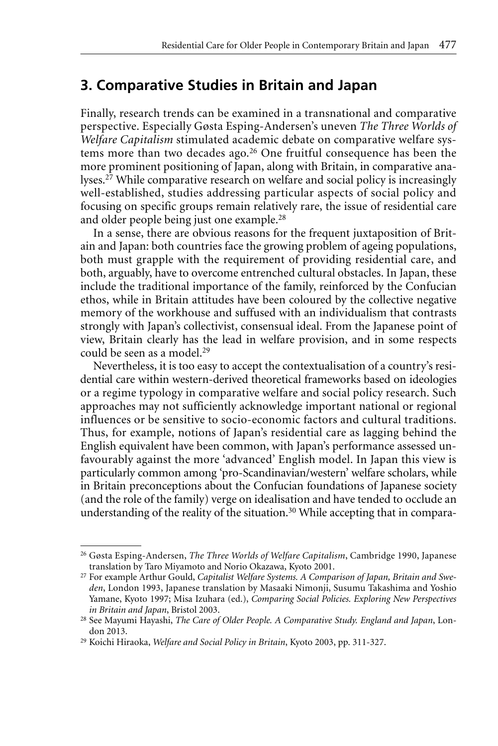## **3. Comparative Studies in Britain and Japan**

Finally, research trends can be examined in a transnational and comparative perspective. Especially Gøsta Esping-Andersen's uneven *The Three Worlds of Welfare Capitalism* stimulated academic debate on comparative welfare systems more than two decades ago.26 One fruitful consequence has been the more prominent positioning of Japan, along with Britain, in comparative analyses.27 While comparative research on welfare and social policy is increasingly well-established, studies addressing particular aspects of social policy and focusing on specific groups remain relatively rare, the issue of residential care and older people being just one example.28

In a sense, there are obvious reasons for the frequent juxtaposition of Britain and Japan: both countries face the growing problem of ageing populations, both must grapple with the requirement of providing residential care, and both, arguably, have to overcome entrenched cultural obstacles. In Japan, these include the traditional importance of the family, reinforced by the Confucian ethos, while in Britain attitudes have been coloured by the collective negative memory of the workhouse and suffused with an individualism that contrasts strongly with Japan's collectivist, consensual ideal. From the Japanese point of view, Britain clearly has the lead in welfare provision, and in some respects could be seen as a model.29

Nevertheless, it is too easy to accept the contextualisation of a country's residential care within western-derived theoretical frameworks based on ideologies or a regime typology in comparative welfare and social policy research. Such approaches may not sufficiently acknowledge important national or regional influences or be sensitive to socio-economic factors and cultural traditions. Thus, for example, notions of Japan's residential care as lagging behind the English equivalent have been common, with Japan's performance assessed unfavourably against the more 'advanced' English model. In Japan this view is particularly common among 'pro-Scandinavian/western' welfare scholars, while in Britain preconceptions about the Confucian foundations of Japanese society (and the role of the family) verge on idealisation and have tended to occlude an understanding of the reality of the situation.<sup>30</sup> While accepting that in compara-

<sup>26</sup> Gøsta Esping-Andersen, *The Three Worlds of Welfare Capitalism*, Cambridge 1990, Japanese translation by Taro Miyamoto and Norio Okazawa, Kyoto 2001.

<sup>27</sup> For example Arthur Gould, *Capitalist Welfare Systems. A Comparison of Japan, Britain and Sweden*, London 1993, Japanese translation by Masaaki Nimonji, Susumu Takashima and Yoshio Yamane, Kyoto 1997; Misa Izuhara (ed.), *Comparing Social Policies. Exploring New Perspectives in Britain and Japan*, Bristol 2003.

<sup>28</sup> See Mayumi Hayashi, *The Care of Older People. A Comparative Study. England and Japan*, London 2013.

<sup>29</sup> Koichi Hiraoka, *Welfare and Social Policy in Britain*, Kyoto 2003, pp. 311-327.